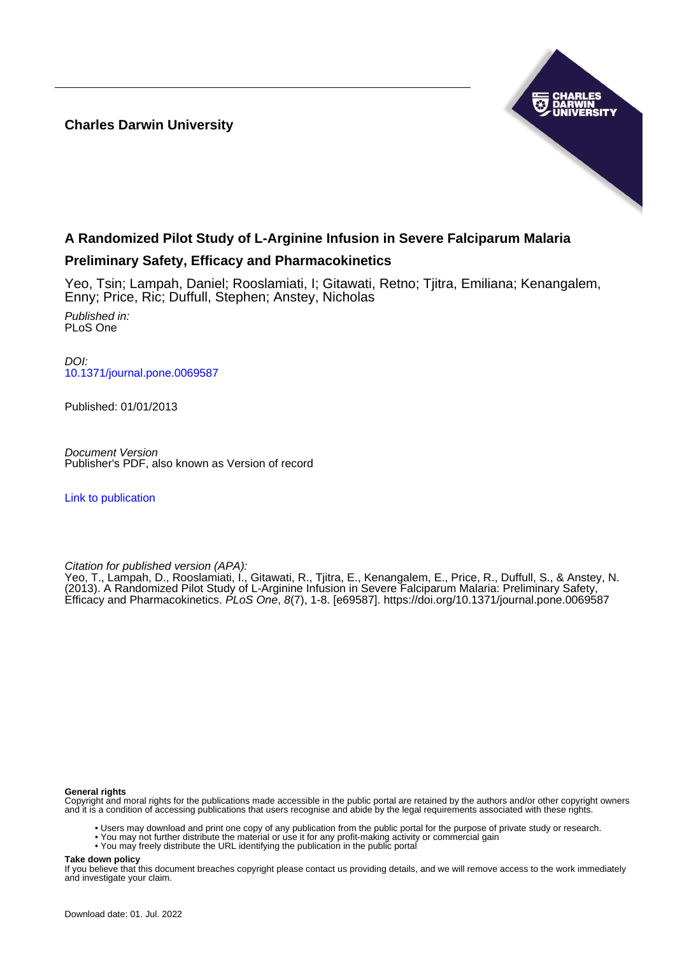**Charles Darwin University**



# **A Randomized Pilot Study of L-Arginine Infusion in Severe Falciparum Malaria**

# **Preliminary Safety, Efficacy and Pharmacokinetics**

Yeo, Tsin; Lampah, Daniel; Rooslamiati, I; Gitawati, Retno; Tjitra, Emiliana; Kenangalem, Enny; Price, Ric; Duffull, Stephen; Anstey, Nicholas Published in: PLoS One

DOI: [10.1371/journal.pone.0069587](https://doi.org/10.1371/journal.pone.0069587)

Published: 01/01/2013

Document Version Publisher's PDF, also known as Version of record

[Link to publication](https://researchers.cdu.edu.au/en/publications/fb46c9ee-6eaa-407c-9ad1-602ae13a64b6)

Citation for published version (APA):

Yeo, T., Lampah, D., Rooslamiati, I., Gitawati, R., Tjitra, E., Kenangalem, E., Price, R., Duffull, S., & Anstey, N. (2013). A Randomized Pilot Study of L-Arginine Infusion in Severe Falciparum Malaria: Preliminary Safety, Efficacy and Pharmacokinetics. PLoS One, 8(7), 1-8. [e69587].<https://doi.org/10.1371/journal.pone.0069587>

## **General rights**

Copyright and moral rights for the publications made accessible in the public portal are retained by the authors and/or other copyright owners and it is a condition of accessing publications that users recognise and abide by the legal requirements associated with these rights.

- Users may download and print one copy of any publication from the public portal for the purpose of private study or research.
- You may not further distribute the material or use it for any profit-making activity or commercial gain
- You may freely distribute the URL identifying the publication in the public portal

**Take down policy**

If you believe that this document breaches copyright please contact us providing details, and we will remove access to the work immediately and investigate your claim.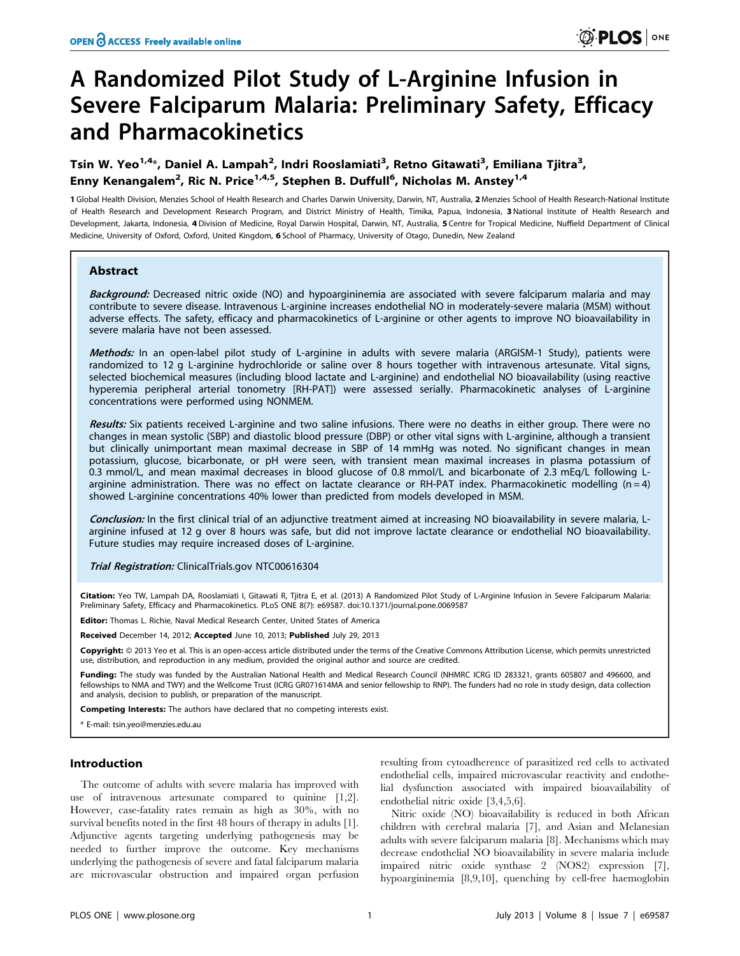# A Randomized Pilot Study of L-Arginine Infusion in Severe Falciparum Malaria: Preliminary Safety, Efficacy and Pharmacokinetics

# Tsin W. Yeo $^{1,4}$ \*, Daniel A. Lampah $^2$ , Indri Rooslamiati $^3$ , Retno Gitawati $^3$ , Emiliana Tjitra $^3$ , Enny Kenangalem<sup>2</sup>, Ric N. Price<sup>1,4,5</sup>, Stephen B. Duffull<sup>6</sup>, Nicholas M. Anstey<sup>1,4</sup>

1 Global Health Division, Menzies School of Health Research and Charles Darwin University, Darwin, NT, Australia, 2 Menzies School of Health Research-National Institute of Health Research and Development Research Program, and District Ministry of Health, Timika, Papua, Indonesia, 3National Institute of Health Research and Development, Jakarta, Indonesia, 4 Division of Medicine, Royal Darwin Hospital, Darwin, NT, Australia, 5 Centre for Tropical Medicine, Nuffield Department of Clinical Medicine, University of Oxford, Oxford, United Kingdom, 6 School of Pharmacy, University of Otago, Dunedin, New Zealand

# Abstract

Background: Decreased nitric oxide (NO) and hypoargininemia are associated with severe falciparum malaria and may contribute to severe disease. Intravenous L-arginine increases endothelial NO in moderately-severe malaria (MSM) without adverse effects. The safety, efficacy and pharmacokinetics of L-arginine or other agents to improve NO bioavailability in severe malaria have not been assessed.

Methods: In an open-label pilot study of L-arginine in adults with severe malaria (ARGISM-1 Study), patients were randomized to 12 g L-arginine hydrochloride or saline over 8 hours together with intravenous artesunate. Vital signs, selected biochemical measures (including blood lactate and L-arginine) and endothelial NO bioavailability (using reactive hyperemia peripheral arterial tonometry [RH-PAT]) were assessed serially. Pharmacokinetic analyses of L-arginine concentrations were performed using NONMEM.

Results: Six patients received L-arginine and two saline infusions. There were no deaths in either group. There were no changes in mean systolic (SBP) and diastolic blood pressure (DBP) or other vital signs with L-arginine, although a transient but clinically unimportant mean maximal decrease in SBP of 14 mmHg was noted. No significant changes in mean potassium, glucose, bicarbonate, or pH were seen, with transient mean maximal increases in plasma potassium of 0.3 mmol/L, and mean maximal decreases in blood glucose of 0.8 mmol/L and bicarbonate of 2.3 mEq/L following Larginine administration. There was no effect on lactate clearance or RH-PAT index. Pharmacokinetic modelling  $(n=4)$ showed L-arginine concentrations 40% lower than predicted from models developed in MSM.

Conclusion: In the first clinical trial of an adjunctive treatment aimed at increasing NO bioavailability in severe malaria, Larginine infused at 12 g over 8 hours was safe, but did not improve lactate clearance or endothelial NO bioavailability. Future studies may require increased doses of L-arginine.

Trial Registration: ClinicalTrials.gov NTC00616304

Citation: Yeo TW, Lampah DA, Rooslamiati I, Gitawati R, Tjitra E, et al. (2013) A Randomized Pilot Study of L-Arginine Infusion in Severe Falciparum Malaria: Preliminary Safety, Efficacy and Pharmacokinetics. PLoS ONE 8(7): e69587. doi:10.1371/journal.pone.0069587

Editor: Thomas L. Richie, Naval Medical Research Center, United States of America

Received December 14, 2012; Accepted June 10, 2013; Published July 29, 2013

Copyright: © 2013 Yeo et al. This is an open-access article distributed under the terms of the Creative Commons Attribution License, which permits unrestricted use, distribution, and reproduction in any medium, provided the original author and source are credited.

Funding: The study was funded by the Australian National Health and Medical Research Council (NHMRC ICRG ID 283321, grants 605807 and 496600, and fellowships to NMA and TWY) and the Wellcome Trust (ICRG GR071614MA and senior fellowship to RNP). The funders had no role in study design, data collection and analysis, decision to publish, or preparation of the manuscript.

Competing Interests: The authors have declared that no competing interests exist.

\* E-mail: tsin.yeo@menzies.edu.au

# Introduction

The outcome of adults with severe malaria has improved with use of intravenous artesunate compared to quinine [1,2]. However, case-fatality rates remain as high as 30%, with no survival benefits noted in the first 48 hours of therapy in adults [1]. Adjunctive agents targeting underlying pathogenesis may be needed to further improve the outcome. Key mechanisms underlying the pathogenesis of severe and fatal falciparum malaria are microvascular obstruction and impaired organ perfusion

resulting from cytoadherence of parasitized red cells to activated endothelial cells, impaired microvascular reactivity and endothelial dysfunction associated with impaired bioavailability of endothelial nitric oxide [3,4,5,6].

Nitric oxide (NO) bioavailability is reduced in both African children with cerebral malaria [7], and Asian and Melanesian adults with severe falciparum malaria [8]. Mechanisms which may decrease endothelial NO bioavailability in severe malaria include impaired nitric oxide synthase 2 (NOS2) expression [7], hypoargininemia [8,9,10], quenching by cell-free haemoglobin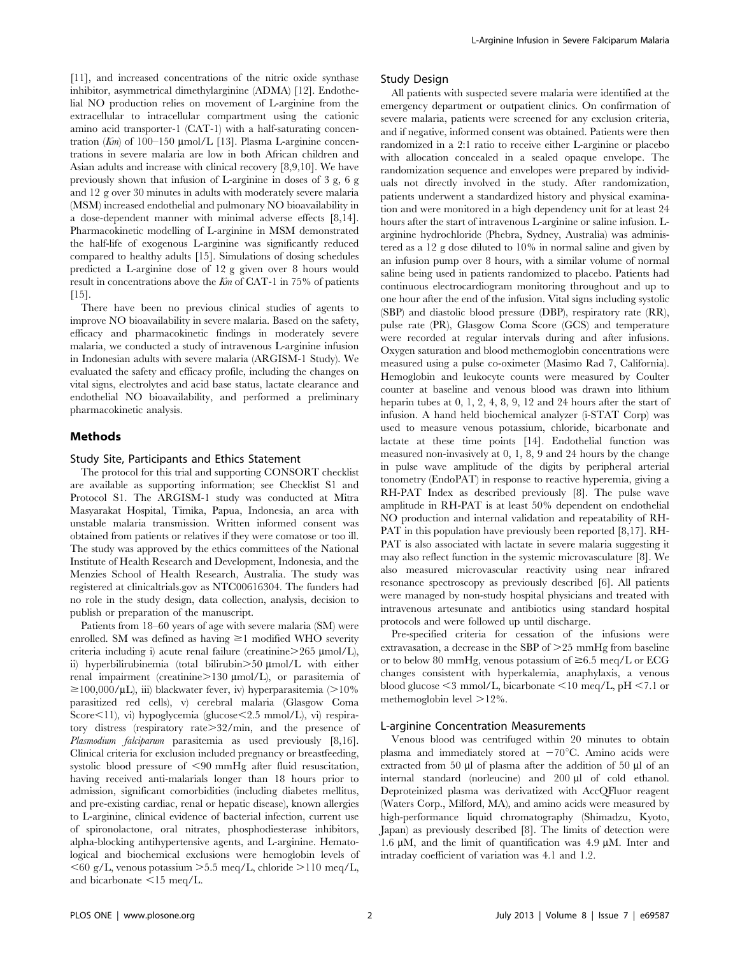[11], and increased concentrations of the nitric oxide synthase inhibitor, asymmetrical dimethylarginine (ADMA) [12]. Endothelial NO production relies on movement of L-arginine from the extracellular to intracellular compartment using the cationic amino acid transporter-1 (CAT-1) with a half-saturating concentration (Km) of 100–150  $\mu$ mol/L [13]. Plasma L-arginine concentrations in severe malaria are low in both African children and Asian adults and increase with clinical recovery [8,9,10]. We have previously shown that infusion of L-arginine in doses of 3 g, 6 g and 12 g over 30 minutes in adults with moderately severe malaria (MSM) increased endothelial and pulmonary NO bioavailability in a dose-dependent manner with minimal adverse effects [8,14]. Pharmacokinetic modelling of L-arginine in MSM demonstrated the half-life of exogenous L-arginine was significantly reduced compared to healthy adults [15]. Simulations of dosing schedules predicted a L-arginine dose of 12 g given over 8 hours would result in concentrations above the Km of CAT-1 in 75% of patients  $[15]$ .

There have been no previous clinical studies of agents to improve NO bioavailability in severe malaria. Based on the safety, efficacy and pharmacokinetic findings in moderately severe malaria, we conducted a study of intravenous L-arginine infusion in Indonesian adults with severe malaria (ARGISM-1 Study). We evaluated the safety and efficacy profile, including the changes on vital signs, electrolytes and acid base status, lactate clearance and endothelial NO bioavailability, and performed a preliminary pharmacokinetic analysis.

# Methods

#### Study Site, Participants and Ethics Statement

The protocol for this trial and supporting CONSORT checklist are available as supporting information; see Checklist S1 and Protocol S1. The ARGISM-1 study was conducted at Mitra Masyarakat Hospital, Timika, Papua, Indonesia, an area with unstable malaria transmission. Written informed consent was obtained from patients or relatives if they were comatose or too ill. The study was approved by the ethics committees of the National Institute of Health Research and Development, Indonesia, and the Menzies School of Health Research, Australia. The study was registered at clinicaltrials.gov as NTC00616304. The funders had no role in the study design, data collection, analysis, decision to publish or preparation of the manuscript.

Patients from 18–60 years of age with severe malaria (SM) were enrolled. SM was defined as having  $\geq$ 1 modified WHO severity criteria including i) acute renal failure (creatinine $>265 \text{ \mu}$ mol/L), ii) hyperbilirubinemia (total bilirubin $>50 \text{ \mu mol/L}$  with either renal impairment (creatinine>130 µmol/L), or parasitemia of  $\geq$ 100,000/µL), iii) blackwater fever, iv) hyperparasitemia (>10% parasitized red cells), v) cerebral malaria (Glasgow Coma Score $\leq$ 11), vi) hypoglycemia (glucose $\leq$ 2.5 mmol/L), vi) respiratory distress (respiratory rate $>32/\text{min}$ , and the presence of Plasmodium falciparum parasitemia as used previously [8,16]. Clinical criteria for exclusion included pregnancy or breastfeeding, systolic blood pressure of  $\leq 90$  mmHg after fluid resuscitation, having received anti-malarials longer than 18 hours prior to admission, significant comorbidities (including diabetes mellitus, and pre-existing cardiac, renal or hepatic disease), known allergies to L-arginine, clinical evidence of bacterial infection, current use of spironolactone, oral nitrates, phosphodiesterase inhibitors, alpha-blocking antihypertensive agents, and L-arginine. Hematological and biochemical exclusions were hemoglobin levels of  $<$  60 g/L, venous potassium  $>$  5.5 meq/L, chloride  $>$ 110 meq/L, and bicarbonate  $\leq 15$  meq/L.

## Study Design

All patients with suspected severe malaria were identified at the emergency department or outpatient clinics. On confirmation of severe malaria, patients were screened for any exclusion criteria, and if negative, informed consent was obtained. Patients were then randomized in a 2:1 ratio to receive either L-arginine or placebo with allocation concealed in a sealed opaque envelope. The randomization sequence and envelopes were prepared by individuals not directly involved in the study. After randomization, patients underwent a standardized history and physical examination and were monitored in a high dependency unit for at least 24 hours after the start of intravenous L-arginine or saline infusion. Larginine hydrochloride (Phebra, Sydney, Australia) was administered as a 12 g dose diluted to 10% in normal saline and given by an infusion pump over 8 hours, with a similar volume of normal saline being used in patients randomized to placebo. Patients had continuous electrocardiogram monitoring throughout and up to one hour after the end of the infusion. Vital signs including systolic (SBP) and diastolic blood pressure (DBP), respiratory rate (RR), pulse rate (PR), Glasgow Coma Score (GCS) and temperature were recorded at regular intervals during and after infusions. Oxygen saturation and blood methemoglobin concentrations were measured using a pulse co-oximeter (Masimo Rad 7, California). Hemoglobin and leukocyte counts were measured by Coulter counter at baseline and venous blood was drawn into lithium heparin tubes at 0, 1, 2, 4, 8, 9, 12 and 24 hours after the start of infusion. A hand held biochemical analyzer (i-STAT Corp) was used to measure venous potassium, chloride, bicarbonate and lactate at these time points [14]. Endothelial function was measured non-invasively at 0, 1, 8, 9 and 24 hours by the change in pulse wave amplitude of the digits by peripheral arterial tonometry (EndoPAT) in response to reactive hyperemia, giving a RH-PAT Index as described previously [8]. The pulse wave amplitude in RH-PAT is at least 50% dependent on endothelial NO production and internal validation and repeatability of RH-PAT in this population have previously been reported [8,17]. RH-PAT is also associated with lactate in severe malaria suggesting it may also reflect function in the systemic microvasculature [8]. We also measured microvascular reactivity using near infrared resonance spectroscopy as previously described [6]. All patients were managed by non-study hospital physicians and treated with intravenous artesunate and antibiotics using standard hospital protocols and were followed up until discharge.

Pre-specified criteria for cessation of the infusions were extravasation, a decrease in the SBP of  $>25$  mmHg from baseline or to below 80 mmHg, venous potassium of  $\geq 6.5$  meq/L or ECG changes consistent with hyperkalemia, anaphylaxis, a venous blood glucose  $\leq$ 3 mmol/L, bicarbonate  $\leq$ 10 meq/L, pH  $\leq$ 7.1 or methemoglobin level  $>12\%$ .

# L-arginine Concentration Measurements

Venous blood was centrifuged within 20 minutes to obtain plasma and immediately stored at  $-70^{\circ}$ C. Amino acids were extracted from 50  $\mu$ l of plasma after the addition of 50  $\mu$ l of an internal standard (norleucine) and 200 µl of cold ethanol. Deproteinized plasma was derivatized with AccQFluor reagent (Waters Corp., Milford, MA), and amino acids were measured by high-performance liquid chromatography (Shimadzu, Kyoto, Japan) as previously described [8]. The limits of detection were 1.6  $\mu$ M, and the limit of quantification was 4.9  $\mu$ M. Inter and intraday coefficient of variation was 4.1 and 1.2.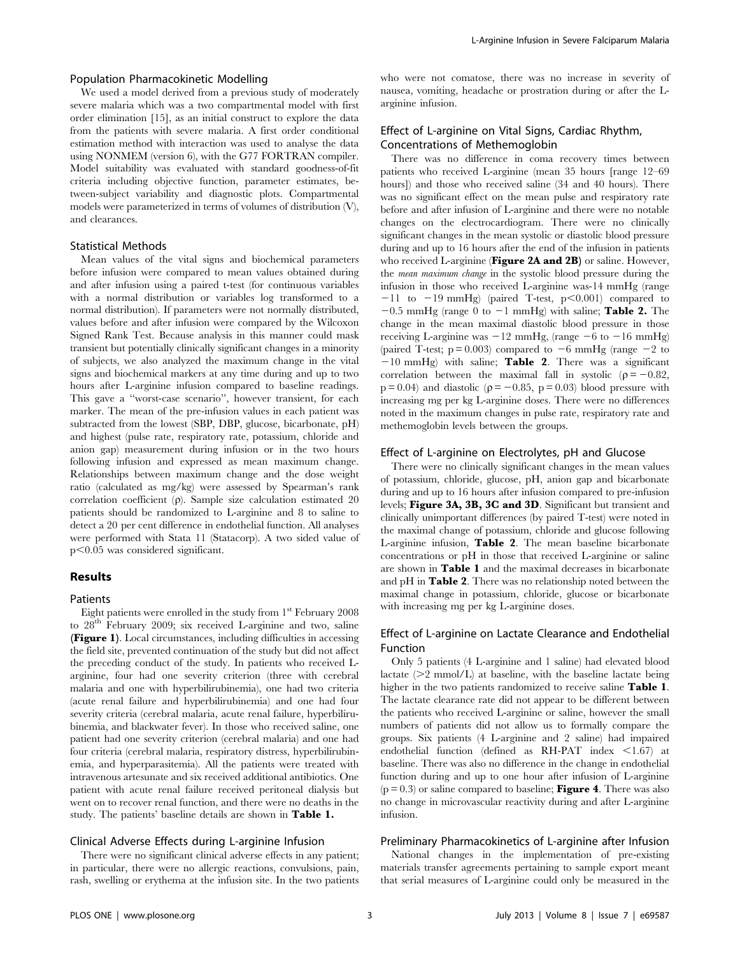# Population Pharmacokinetic Modelling

We used a model derived from a previous study of moderately severe malaria which was a two compartmental model with first order elimination [15], as an initial construct to explore the data from the patients with severe malaria. A first order conditional estimation method with interaction was used to analyse the data using NONMEM (version 6), with the G77 FORTRAN compiler. Model suitability was evaluated with standard goodness-of-fit criteria including objective function, parameter estimates, between-subject variability and diagnostic plots. Compartmental models were parameterized in terms of volumes of distribution (V), and clearances.

# Statistical Methods

Mean values of the vital signs and biochemical parameters before infusion were compared to mean values obtained during and after infusion using a paired t-test (for continuous variables with a normal distribution or variables log transformed to a normal distribution). If parameters were not normally distributed, values before and after infusion were compared by the Wilcoxon Signed Rank Test. Because analysis in this manner could mask transient but potentially clinically significant changes in a minority of subjects, we also analyzed the maximum change in the vital signs and biochemical markers at any time during and up to two hours after L-arginine infusion compared to baseline readings. This gave a ''worst-case scenario'', however transient, for each marker. The mean of the pre-infusion values in each patient was subtracted from the lowest (SBP, DBP, glucose, bicarbonate, pH) and highest (pulse rate, respiratory rate, potassium, chloride and anion gap) measurement during infusion or in the two hours following infusion and expressed as mean maximum change. Relationships between maximum change and the dose weight ratio (calculated as mg/kg) were assessed by Spearman's rank correlation coefficient  $(\rho)$ . Sample size calculation estimated 20 patients should be randomized to L-arginine and 8 to saline to detect a 20 per cent difference in endothelial function. All analyses were performed with Stata 11 (Statacorp). A two sided value of  $p<0.05$  was considered significant.

# Results

#### Patients

Eight patients were enrolled in the study from  $1<sup>st</sup>$  February 2008 to  $28<sup>th</sup>$  February 2009; six received L-arginine and two, saline (Figure 1). Local circumstances, including difficulties in accessing the field site, prevented continuation of the study but did not affect the preceding conduct of the study. In patients who received Larginine, four had one severity criterion (three with cerebral malaria and one with hyperbilirubinemia), one had two criteria (acute renal failure and hyperbilirubinemia) and one had four severity criteria (cerebral malaria, acute renal failure, hyperbilirubinemia, and blackwater fever). In those who received saline, one patient had one severity criterion (cerebral malaria) and one had four criteria (cerebral malaria, respiratory distress, hyperbilirubinemia, and hyperparasitemia). All the patients were treated with intravenous artesunate and six received additional antibiotics. One patient with acute renal failure received peritoneal dialysis but went on to recover renal function, and there were no deaths in the study. The patients' baseline details are shown in Table 1.

#### Clinical Adverse Effects during L-arginine Infusion

There were no significant clinical adverse effects in any patient; in particular, there were no allergic reactions, convulsions, pain, rash, swelling or erythema at the infusion site. In the two patients who were not comatose, there was no increase in severity of nausea, vomiting, headache or prostration during or after the Larginine infusion.

# Effect of L-arginine on Vital Signs, Cardiac Rhythm, Concentrations of Methemoglobin

There was no difference in coma recovery times between patients who received L-arginine (mean 35 hours [range 12–69 hours]) and those who received saline (34 and 40 hours). There was no significant effect on the mean pulse and respiratory rate before and after infusion of L-arginine and there were no notable changes on the electrocardiogram. There were no clinically significant changes in the mean systolic or diastolic blood pressure during and up to 16 hours after the end of the infusion in patients who received L-arginine (Figure 2A and 2B) or saline. However, the mean maximum change in the systolic blood pressure during the infusion in those who received L-arginine was-14 mmHg (range  $-11$  to  $-19$  mmHg) (paired T-test, p $\leq 0.001$ ) compared to  $-0.5$  mmHg (range 0 to  $-1$  mmHg) with saline; **Table 2.** The change in the mean maximal diastolic blood pressure in those receiving L-arginine was  $-12$  mmHg, (range  $-6$  to  $-16$  mmHg) (paired T-test;  $p = 0.003$ ) compared to  $-6$  mmHg (range  $-2$  to  $-10$  mmHg) with saline; Table 2. There was a significant correlation between the maximal fall in systolic ( $\rho = -0.82$ ,  $p = 0.04$ ) and diastolic ( $p = -0.85$ ,  $p = 0.03$ ) blood pressure with increasing mg per kg L-arginine doses. There were no differences noted in the maximum changes in pulse rate, respiratory rate and methemoglobin levels between the groups.

# Effect of L-arginine on Electrolytes, pH and Glucose

There were no clinically significant changes in the mean values of potassium, chloride, glucose, pH, anion gap and bicarbonate during and up to 16 hours after infusion compared to pre-infusion levels; Figure 3A, 3B, 3C and 3D. Significant but transient and clinically unimportant differences (by paired T-test) were noted in the maximal change of potassium, chloride and glucose following L-arginine infusion, Table 2. The mean baseline bicarbonate concentrations or pH in those that received L-arginine or saline are shown in Table 1 and the maximal decreases in bicarbonate and pH in Table 2. There was no relationship noted between the maximal change in potassium, chloride, glucose or bicarbonate with increasing mg per kg L-arginine doses.

# Effect of L-arginine on Lactate Clearance and Endothelial Function

Only 5 patients (4 L-arginine and 1 saline) had elevated blood lactate  $(>= 2 \text{ mmol/L})$  at baseline, with the baseline lactate being higher in the two patients randomized to receive saline **Table 1**. The lactate clearance rate did not appear to be different between the patients who received L-arginine or saline, however the small numbers of patients did not allow us to formally compare the groups. Six patients (4 L-arginine and 2 saline) had impaired endothelial function (defined as  $R$ H-PAT index  $\leq$ 1.67) at baseline. There was also no difference in the change in endothelial function during and up to one hour after infusion of L-arginine  $(p = 0.3)$  or saline compared to baseline; **Figure 4**. There was also no change in microvascular reactivity during and after L-arginine infusion.

#### Preliminary Pharmacokinetics of L-arginine after Infusion

National changes in the implementation of pre-existing materials transfer agreements pertaining to sample export meant that serial measures of L-arginine could only be measured in the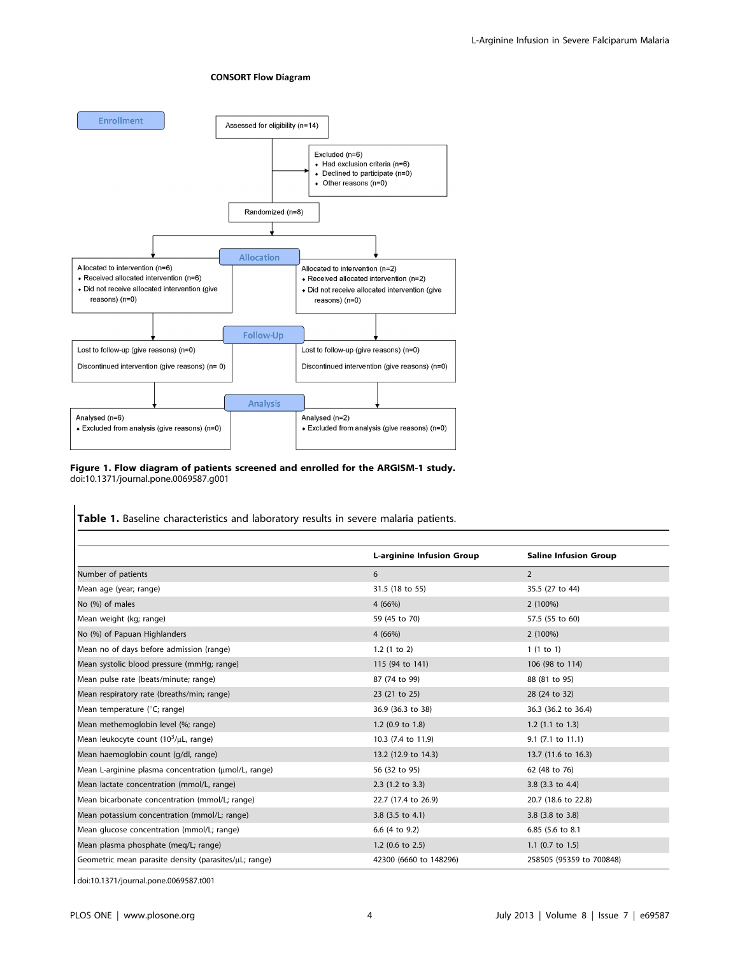#### **CONSORT Flow Diagram**



# Figure 1. Flow diagram of patients screened and enrolled for the ARGISM-1 study. doi:10.1371/journal.pone.0069587.g001

Table 1. Baseline characteristics and laboratory results in severe malaria patients.

|                                                             | <b>L-arginine Infusion Group</b> | <b>Saline Infusion Group</b> |
|-------------------------------------------------------------|----------------------------------|------------------------------|
| Number of patients                                          | 6                                | $\overline{2}$               |
| Mean age (year; range)                                      | 31.5 (18 to 55)                  | 35.5 (27 to 44)              |
| No (%) of males                                             | 4(66%)                           | 2 (100%)                     |
| Mean weight (kg; range)                                     | 59 (45 to 70)                    | 57.5 (55 to 60)              |
| No (%) of Papuan Highlanders                                | 4(66%)                           | 2 (100%)                     |
| Mean no of days before admission (range)                    | $1.2$ (1 to 2)                   | 1(1 to 1)                    |
| Mean systolic blood pressure (mmHg; range)                  | 115 (94 to 141)                  | 106 (98 to 114)              |
| Mean pulse rate (beats/minute; range)                       | 87 (74 to 99)                    | 88 (81 to 95)                |
| Mean respiratory rate (breaths/min; range)                  | 23 (21 to 25)                    | 28 (24 to 32)                |
| Mean temperature (°C; range)                                | 36.9 (36.3 to 38)                | 36.3 (36.2 to 36.4)          |
| Mean methemoglobin level (%; range)                         | $1.2$ (0.9 to $1.8$ )            | $1.2$ (1.1 to 1.3)           |
| Mean leukocyte count $(10^3/\mu L, \text{range})$           | 10.3 (7.4 to 11.9)               | 9.1 (7.1 to 11.1)            |
| Mean haemoglobin count (g/dl, range)                        | 13.2 (12.9 to 14.3)              | 13.7 (11.6 to 16.3)          |
| Mean L-arginine plasma concentration (umol/L, range)        | 56 (32 to 95)                    | 62 (48 to 76)                |
| Mean lactate concentration (mmol/L, range)                  | $2.3$ (1.2 to 3.3)               | 3.8 $(3.3 \text{ to } 4.4)$  |
| Mean bicarbonate concentration (mmol/L; range)              | 22.7 (17.4 to 26.9)              | 20.7 (18.6 to 22.8)          |
| Mean potassium concentration (mmol/L; range)                | 3.8 $(3.5 \text{ to } 4.1)$      | $3.8$ (3.8 to 3.8)           |
| Mean glucose concentration (mmol/L; range)                  | 6.6 (4 to 9.2)                   | 6.85 (5.6 to 8.1             |
| Mean plasma phosphate (meq/L; range)                        | $1.2$ (0.6 to 2.5)               | 1.1 $(0.7 \text{ to } 1.5)$  |
| Geometric mean parasite density (parasites/ $\mu$ L; range) | 42300 (6660 to 148296)           | 258505 (95359 to 700848)     |

doi:10.1371/journal.pone.0069587.t001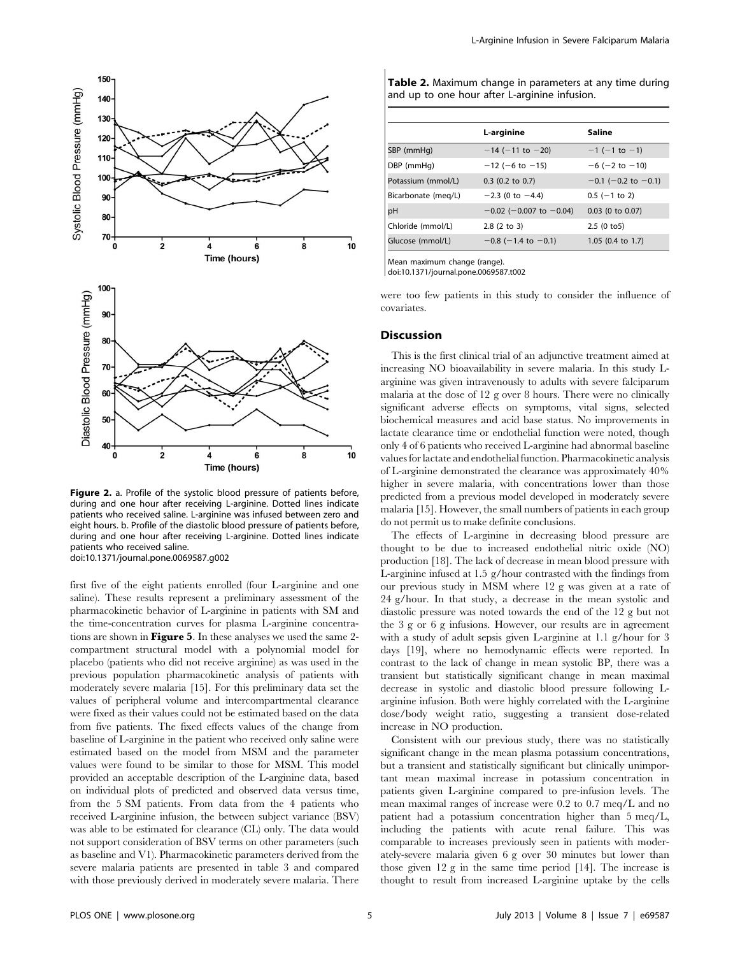

Figure 2. a. Profile of the systolic blood pressure of patients before, during and one hour after receiving L-arginine. Dotted lines indicate patients who received saline. L-arginine was infused between zero and eight hours. b. Profile of the diastolic blood pressure of patients before, during and one hour after receiving L-arginine. Dotted lines indicate patients who received saline. doi:10.1371/journal.pone.0069587.g002

first five of the eight patients enrolled (four L-arginine and one saline). These results represent a preliminary assessment of the pharmacokinetic behavior of L-arginine in patients with SM and the time-concentration curves for plasma L-arginine concentrations are shown in **Figure 5**. In these analyses we used the same 2compartment structural model with a polynomial model for placebo (patients who did not receive arginine) as was used in the previous population pharmacokinetic analysis of patients with moderately severe malaria [15]. For this preliminary data set the values of peripheral volume and intercompartmental clearance were fixed as their values could not be estimated based on the data from five patients. The fixed effects values of the change from baseline of L-arginine in the patient who received only saline were estimated based on the model from MSM and the parameter values were found to be similar to those for MSM. This model provided an acceptable description of the L-arginine data, based on individual plots of predicted and observed data versus time, from the 5 SM patients. From data from the 4 patients who received L-arginine infusion, the between subject variance (BSV) was able to be estimated for clearance (CL) only. The data would not support consideration of BSV terms on other parameters (such as baseline and V1). Pharmacokinetic parameters derived from the severe malaria patients are presented in table 3 and compared with those previously derived in moderately severe malaria. There

| Table 2. Maximum change in parameters at any time during |  |  |
|----------------------------------------------------------|--|--|
| and up to one hour after L-arginine infusion.            |  |  |

| L-arginine                      | Saline                       |
|---------------------------------|------------------------------|
| $-14$ (-11 to -20)              | $-1$ (-1 to -1)              |
| $-12$ (-6 to $-15$ )            | $-6$ ( $-2$ to $-10$ )       |
| $0.3$ (0.2 to 0.7)              | $-0.1$ (-0.2 to $-0.1$ )     |
| $-2.3$ (0 to $-4.4$ )           | $0.5$ (-1 to 2)              |
| $-0.02$ ( $-0.007$ to $-0.04$ ) | $0.03$ (0 to $0.07$ )        |
| $2.8(2 \text{ to } 3)$          | 2.5(0 to 5)                  |
| $-0.8$ (-1.4 to -0.1)           | 1.05 $(0.4 \text{ to } 1.7)$ |
|                                 |                              |

Mean maximum change (range).

doi:10.1371/journal.pone.0069587.t002

were too few patients in this study to consider the influence of covariates.

#### Discussion

This is the first clinical trial of an adjunctive treatment aimed at increasing NO bioavailability in severe malaria. In this study Larginine was given intravenously to adults with severe falciparum malaria at the dose of 12 g over 8 hours. There were no clinically significant adverse effects on symptoms, vital signs, selected biochemical measures and acid base status. No improvements in lactate clearance time or endothelial function were noted, though only 4 of 6 patients who received L-arginine had abnormal baseline values for lactate and endothelial function. Pharmacokinetic analysis of L-arginine demonstrated the clearance was approximately 40% higher in severe malaria, with concentrations lower than those predicted from a previous model developed in moderately severe malaria [15]. However, the small numbers of patients in each group do not permit us to make definite conclusions.

The effects of L-arginine in decreasing blood pressure are thought to be due to increased endothelial nitric oxide (NO) production [18]. The lack of decrease in mean blood pressure with L-arginine infused at 1.5 g/hour contrasted with the findings from our previous study in MSM where 12 g was given at a rate of 24 g/hour. In that study, a decrease in the mean systolic and diastolic pressure was noted towards the end of the 12 g but not the 3 g or 6 g infusions. However, our results are in agreement with a study of adult sepsis given L-arginine at 1.1 g/hour for 3 days [19], where no hemodynamic effects were reported. In contrast to the lack of change in mean systolic BP, there was a transient but statistically significant change in mean maximal decrease in systolic and diastolic blood pressure following Larginine infusion. Both were highly correlated with the L-arginine dose/body weight ratio, suggesting a transient dose-related increase in NO production.

Consistent with our previous study, there was no statistically significant change in the mean plasma potassium concentrations, but a transient and statistically significant but clinically unimportant mean maximal increase in potassium concentration in patients given L-arginine compared to pre-infusion levels. The mean maximal ranges of increase were 0.2 to 0.7 meq/L and no patient had a potassium concentration higher than 5 meq/L, including the patients with acute renal failure. This was comparable to increases previously seen in patients with moderately-severe malaria given 6 g over 30 minutes but lower than those given 12 g in the same time period [14]. The increase is thought to result from increased L-arginine uptake by the cells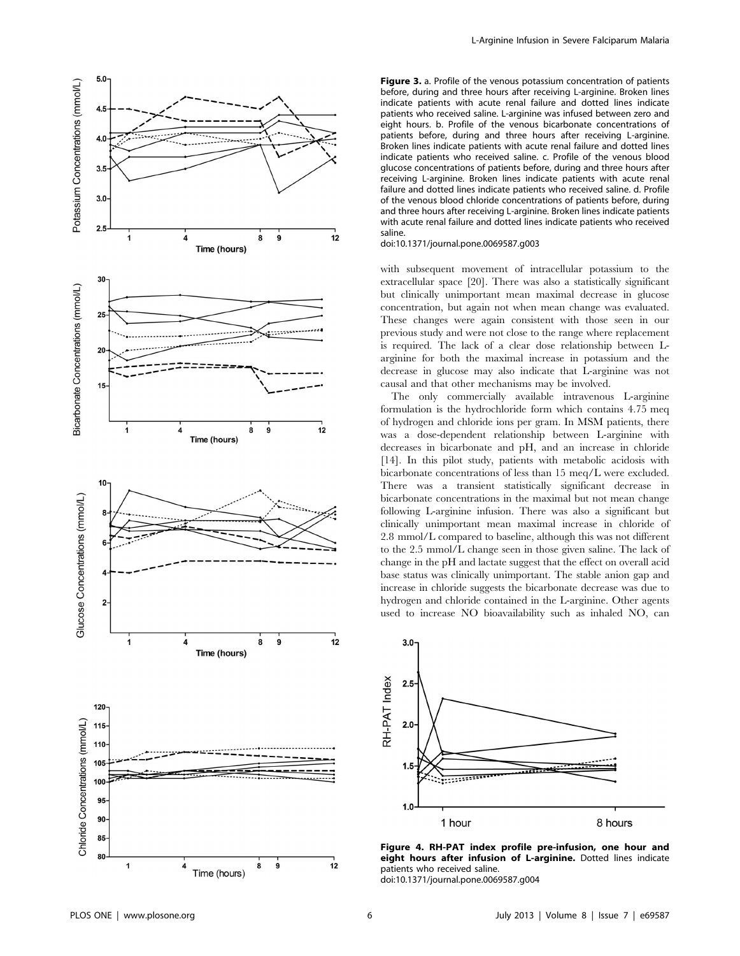

Figure 3. a. Profile of the venous potassium concentration of patients before, during and three hours after receiving L-arginine. Broken lines indicate patients with acute renal failure and dotted lines indicate patients who received saline. L-arginine was infused between zero and eight hours. b. Profile of the venous bicarbonate concentrations of patients before, during and three hours after receiving L-arginine. Broken lines indicate patients with acute renal failure and dotted lines indicate patients who received saline. c. Profile of the venous blood glucose concentrations of patients before, during and three hours after receiving L-arginine. Broken lines indicate patients with acute renal failure and dotted lines indicate patients who received saline. d. Profile of the venous blood chloride concentrations of patients before, during and three hours after receiving L-arginine. Broken lines indicate patients with acute renal failure and dotted lines indicate patients who received saline.

doi:10.1371/journal.pone.0069587.g003

with subsequent movement of intracellular potassium to the extracellular space [20]. There was also a statistically significant but clinically unimportant mean maximal decrease in glucose concentration, but again not when mean change was evaluated. These changes were again consistent with those seen in our previous study and were not close to the range where replacement is required. The lack of a clear dose relationship between Larginine for both the maximal increase in potassium and the decrease in glucose may also indicate that L-arginine was not causal and that other mechanisms may be involved.

The only commercially available intravenous L-arginine formulation is the hydrochloride form which contains 4.75 meq of hydrogen and chloride ions per gram. In MSM patients, there was a dose-dependent relationship between L-arginine with decreases in bicarbonate and pH, and an increase in chloride [14]. In this pilot study, patients with metabolic acidosis with bicarbonate concentrations of less than 15 meq/L were excluded. There was a transient statistically significant decrease in bicarbonate concentrations in the maximal but not mean change following L-arginine infusion. There was also a significant but clinically unimportant mean maximal increase in chloride of 2.8 mmol/L compared to baseline, although this was not different to the 2.5 mmol/L change seen in those given saline. The lack of change in the pH and lactate suggest that the effect on overall acid base status was clinically unimportant. The stable anion gap and increase in chloride suggests the bicarbonate decrease was due to hydrogen and chloride contained in the L-arginine. Other agents used to increase NO bioavailability such as inhaled NO, can



Figure 4. RH-PAT index profile pre-infusion, one hour and eight hours after infusion of L-arginine. Dotted lines indicate patients who received saline.

doi:10.1371/journal.pone.0069587.g004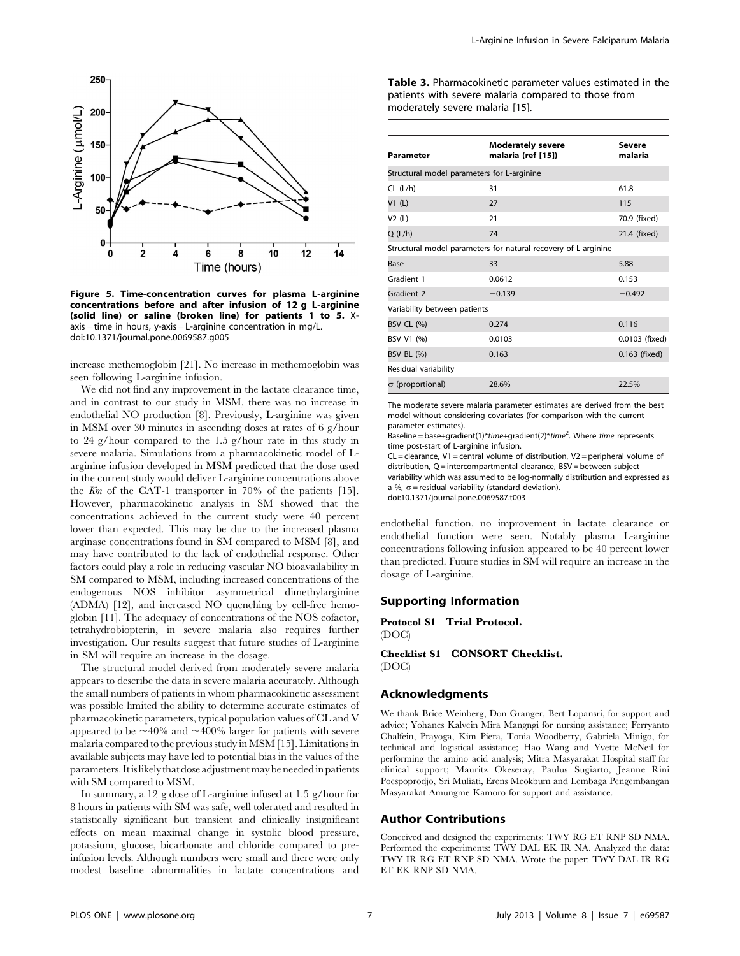

Figure 5. Time-concentration curves for plasma L-arginine concentrations before and after infusion of 12 g L-arginine (solid line) or saline (broken line) for patients 1 to 5. Xaxis = time in hours, y-axis = L-arginine concentration in mg/L. doi:10.1371/journal.pone.0069587.g005

increase methemoglobin [21]. No increase in methemoglobin was seen following L-arginine infusion.

We did not find any improvement in the lactate clearance time, and in contrast to our study in MSM, there was no increase in endothelial NO production [8]. Previously, L-arginine was given in MSM over 30 minutes in ascending doses at rates of 6 g/hour to 24 g/hour compared to the 1.5 g/hour rate in this study in severe malaria. Simulations from a pharmacokinetic model of Larginine infusion developed in MSM predicted that the dose used in the current study would deliver L-arginine concentrations above the Km of the CAT-1 transporter in 70% of the patients [15]. However, pharmacokinetic analysis in SM showed that the concentrations achieved in the current study were 40 percent lower than expected. This may be due to the increased plasma arginase concentrations found in SM compared to MSM [8], and may have contributed to the lack of endothelial response. Other factors could play a role in reducing vascular NO bioavailability in SM compared to MSM, including increased concentrations of the endogenous NOS inhibitor asymmetrical dimethylarginine (ADMA) [12], and increased NO quenching by cell-free hemoglobin [11]. The adequacy of concentrations of the NOS cofactor, tetrahydrobiopterin, in severe malaria also requires further investigation. Our results suggest that future studies of L-arginine in SM will require an increase in the dosage.

The structural model derived from moderately severe malaria appears to describe the data in severe malaria accurately. Although the small numbers of patients in whom pharmacokinetic assessment was possible limited the ability to determine accurate estimates of pharmacokinetic parameters, typical population values of CL and V appeared to be  $\sim$ 40% and  $\sim$ 400% larger for patients with severe malaria compared to the previous study in MSM [15]. Limitations in available subjects may have led to potential bias in the values of the parameters. Itislikelythat dose adjustmentmay be neededin patients with SM compared to MSM.

In summary, a 12 g dose of L-arginine infused at 1.5 g/hour for 8 hours in patients with SM was safe, well tolerated and resulted in statistically significant but transient and clinically insignificant effects on mean maximal change in systolic blood pressure, potassium, glucose, bicarbonate and chloride compared to preinfusion levels. Although numbers were small and there were only modest baseline abnormalities in lactate concentrations and Table 3. Pharmacokinetic parameter values estimated in the patients with severe malaria compared to those from moderately severe malaria [15].

| <b>Parameter</b>                                               | <b>Moderately severe</b><br>malaria (ref [15]) | Severe<br>malaria |  |  |
|----------------------------------------------------------------|------------------------------------------------|-------------------|--|--|
| Structural model parameters for L-arginine                     |                                                |                   |  |  |
| CL (L/h)                                                       | 31                                             | 61.8              |  |  |
| VI(L)                                                          | 27                                             | 115               |  |  |
| V2(L)                                                          | 21                                             | 70.9 (fixed)      |  |  |
| Q(L/h)                                                         | 74                                             | 21.4 (fixed)      |  |  |
| Structural model parameters for natural recovery of L-arginine |                                                |                   |  |  |
| Base                                                           | 33                                             | 5.88              |  |  |
| Gradient 1                                                     | 0.0612                                         | 0.153             |  |  |
| Gradient 2                                                     | $-0.139$                                       | $-0.492$          |  |  |
| Variability between patients                                   |                                                |                   |  |  |
| <b>BSV CL (%)</b>                                              | 0.274                                          | 0.116             |  |  |
| BSV V1 (%)                                                     | 0.0103                                         | 0.0103 (fixed)    |  |  |
| <b>BSV BL (%)</b>                                              | 0.163                                          | 0.163 (fixed)     |  |  |
| Residual variability                                           |                                                |                   |  |  |
| $\sigma$ (proportional)                                        | 28.6%                                          | 22.5%             |  |  |

The moderate severe malaria parameter estimates are derived from the best model without considering covariates (for comparison with the current parameter estimates).

Baseline = base+gradient(1)\*time+gradient(2)\*time<sup>2</sup>. Where time represents time post-start of L-arginine infusion.

 $CL =$  clearance, V1 = central volume of distribution, V2 = peripheral volume of distribution, Q = intercompartmental clearance, BSV = between subject variability which was assumed to be log-normally distribution and expressed as a %,  $\sigma$  = residual variability (standard deviation).

doi:10.1371/journal.pone.0069587.t003

endothelial function, no improvement in lactate clearance or endothelial function were seen. Notably plasma L-arginine concentrations following infusion appeared to be 40 percent lower than predicted. Future studies in SM will require an increase in the dosage of L-arginine.

# Supporting Information

Protocol S1 Trial Protocol. (DOC)

Checklist S1 CONSORT Checklist. (DOC)

## Acknowledgments

We thank Brice Weinberg, Don Granger, Bert Lopansri, for support and advice; Yohanes Kalvein Mira Mangngi for nursing assistance; Ferryanto Chalfein, Prayoga, Kim Piera, Tonia Woodberry, Gabriela Minigo, for technical and logistical assistance; Hao Wang and Yvette McNeil for performing the amino acid analysis; Mitra Masyarakat Hospital staff for clinical support; Mauritz Okeseray, Paulus Sugiarto, Jeanne Rini Poespoprodjo, Sri Muliati, Erens Meokbum and Lembaga Pengembangan Masyarakat Amungme Kamoro for support and assistance.

## Author Contributions

Conceived and designed the experiments: TWY RG ET RNP SD NMA. Performed the experiments: TWY DAL EK IR NA. Analyzed the data: TWY IR RG ET RNP SD NMA. Wrote the paper: TWY DAL IR RG ET EK RNP SD NMA.